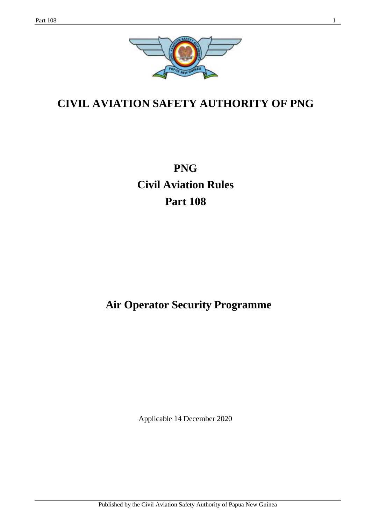

# **CIVIL AVIATION SAFETY AUTHORITY OF PNG**

**PNG Civil Aviation Rules Part 108**

# **Air Operator Security Programme**

Applicable 14 December 2020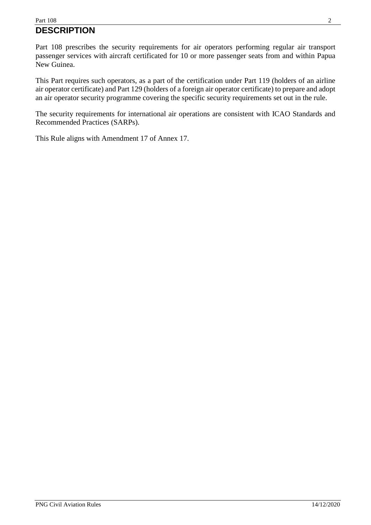### Part  $108$  2 **DESCRIPTION**

Part 108 prescribes the security requirements for air operators performing regular air transport passenger services with aircraft certificated for 10 or more passenger seats from and within Papua New Guinea.

This Part requires such operators, as a part of the certification under Part 119 (holders of an airline air operator certificate) and Part 129 (holders of a foreign air operator certificate) to prepare and adopt an air operator security programme covering the specific security requirements set out in the rule.

The security requirements for international air operations are consistent with ICAO Standards and Recommended Practices (SARPs).

This Rule aligns with Amendment 17 of Annex 17.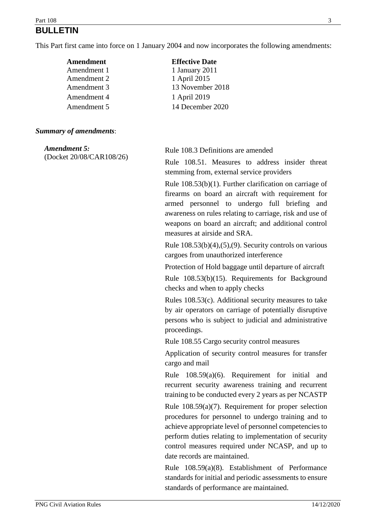# Part  $108$  3 **BULLETIN**

This Part first came into force on 1 January 2004 and now incorporates the following amendments:

**Effective Date** 1 January 2011 1 April 2015

1 April 2019

13 November 2018

14 December 2020

| Amendment   |
|-------------|
| Amendment 1 |
| Amendment 2 |
| Amendment 3 |
| Amendment 4 |
| Amendment 5 |
|             |

#### *Summary of amendments*:

*Amendment 5:*  (Docket 20/08/CAR108/26)

Rule 108.3 Definitions are amended

Rule 108.51. Measures to address insider threat stemming from, external service providers

Rule 108.53(b)(1). Further clarification on carriage of firearms on board an aircraft with requirement for armed personnel to undergo full briefing and awareness on rules relating to carriage, risk and use of weapons on board an aircraft; and additional control measures at airside and SRA.

Rule  $108.53(b)(4)$ ,  $(5)$ ,  $(9)$ . Security controls on various cargoes from unauthorized interference

Protection of Hold baggage until departure of aircraft

Rule 108.53(b)(15). Requirements for Background checks and when to apply checks

Rules 108.53(c). Additional security measures to take by air operators on carriage of potentially disruptive persons who is subject to judicial and administrative proceedings.

Rule 108.55 Cargo security control measures

Application of security control measures for transfer cargo and mail

Rule 108.59(a)(6). Requirement for initial and recurrent security awareness training and recurrent training to be conducted every 2 years as per NCASTP

Rule 108.59(a)(7). Requirement for proper selection procedures for personnel to undergo training and to achieve appropriate level of personnel competencies to perform duties relating to implementation of security control measures required under NCASP, and up to date records are maintained.

Rule 108.59(a)(8). Establishment of Performance standards for initial and periodic assessments to ensure standards of performance are maintained.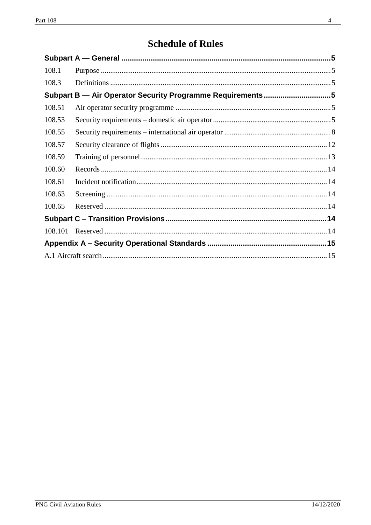# **Schedule of Rules**

| 108.1                                                     |  |  |  |
|-----------------------------------------------------------|--|--|--|
| 108.3                                                     |  |  |  |
| Subpart B - Air Operator Security Programme Requirements5 |  |  |  |
| 108.51                                                    |  |  |  |
| 108.53                                                    |  |  |  |
| 108.55                                                    |  |  |  |
| 108.57                                                    |  |  |  |
| 108.59                                                    |  |  |  |
| 108.60                                                    |  |  |  |
| 108.61                                                    |  |  |  |
| 108.63                                                    |  |  |  |
| 108.65                                                    |  |  |  |
|                                                           |  |  |  |
| 108.101                                                   |  |  |  |
|                                                           |  |  |  |
|                                                           |  |  |  |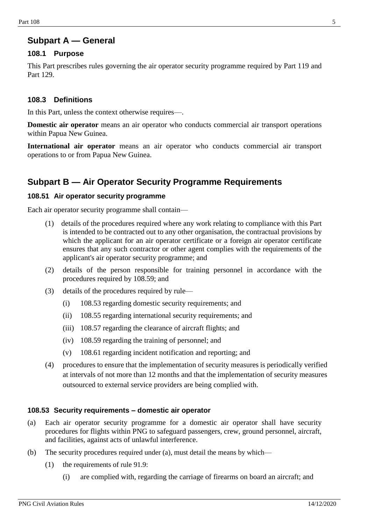# <span id="page-4-0"></span>**Subpart A — General**

#### <span id="page-4-1"></span>**108.1 Purpose**

This Part prescribes rules governing the air operator security programme required by Part 119 and Part 129.

#### <span id="page-4-2"></span>**108.3 Definitions**

In this Part, unless the context otherwise requires—.

**Domestic air operator** means an air operator who conducts commercial air transport operations within Papua New Guinea.

**International air operator** means an air operator who conducts commercial air transport operations to or from Papua New Guinea.

# <span id="page-4-3"></span>**Subpart B — Air Operator Security Programme Requirements**

#### <span id="page-4-4"></span>**108.51 Air operator security programme**

Each air operator security programme shall contain—

- (1) details of the procedures required where any work relating to compliance with this Part is intended to be contracted out to any other organisation, the contractual provisions by which the applicant for an air operator certificate or a foreign air operator certificate ensures that any such contractor or other agent complies with the requirements of the applicant's air operator security programme; and
- (2) details of the person responsible for training personnel in accordance with the procedures required by 108.59; and
- (3) details of the procedures required by rule—
	- (i) 108.53 regarding domestic security requirements; and
	- (ii) 108.55 regarding international security requirements; and
	- (iii) 108.57 regarding the clearance of aircraft flights; and
	- (iv) 108.59 regarding the training of personnel; and
	- (v) 108.61 regarding incident notification and reporting; and
- (4) procedures to ensure that the implementation of security measures is periodically verified at intervals of not more than 12 months and that the implementation of security measures outsourced to external service providers are being complied with.

#### <span id="page-4-5"></span>**108.53 Security requirements – domestic air operator**

- (a) Each air operator security programme for a domestic air operator shall have security procedures for flights within PNG to safeguard passengers, crew, ground personnel, aircraft, and facilities, against acts of unlawful interference.
- (b) The security procedures required under (a), must detail the means by which—
	- (1) the requirements of rule 91.9:
		- (i) are complied with, regarding the carriage of firearms on board an aircraft; and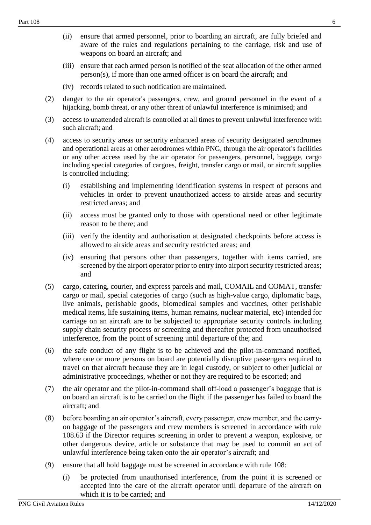- (ii) ensure that armed personnel, prior to boarding an aircraft, are fully briefed and aware of the rules and regulations pertaining to the carriage, risk and use of weapons on board an aircraft; and
- (iii) ensure that each armed person is notified of the seat allocation of the other armed person(s), if more than one armed officer is on board the aircraft; and
- (iv) records related to such notification are maintained.
- (2) danger to the air operator's passengers, crew, and ground personnel in the event of a hijacking, bomb threat, or any other threat of unlawful interference is minimised; and
- (3) access to unattended aircraft is controlled at all times to prevent unlawful interference with such aircraft; and
- (4) access to security areas or security enhanced areas of security designated aerodromes and operational areas at other aerodromes within PNG, through the air operator's facilities or any other access used by the air operator for passengers, personnel, baggage, cargo including special categories of cargoes, freight, transfer cargo or mail, or aircraft supplies is controlled including;
	- (i) establishing and implementing identification systems in respect of persons and vehicles in order to prevent unauthorized access to airside areas and security restricted areas; and
	- (ii) access must be granted only to those with operational need or other legitimate reason to be there; and
	- (iii) verify the identity and authorisation at designated checkpoints before access is allowed to airside areas and security restricted areas; and
	- (iv) ensuring that persons other than passengers, together with items carried, are screened by the airport operator prior to entry into airport security restricted areas; and
- (5) cargo, catering, courier, and express parcels and mail, COMAIL and COMAT, transfer cargo or mail, special categories of cargo (such as high-value cargo, diplomatic bags, live animals, perishable goods, biomedical samples and vaccines, other perishable medical items, life sustaining items, human remains, nuclear material, etc) intended for carriage on an aircraft are to be subjected to appropriate security controls including supply chain security process or screening and thereafter protected from unauthorised interference, from the point of screening until departure of the; and
- (6) the safe conduct of any flight is to be achieved and the pilot-in-command notified, where one or more persons on board are potentially disruptive passengers required to travel on that aircraft because they are in legal custody, or subject to other judicial or administrative proceedings, whether or not they are required to be escorted; and
- (7) the air operator and the pilot-in-command shall off-load a passenger's baggage that is on board an aircraft is to be carried on the flight if the passenger has failed to board the aircraft; and
- (8) before boarding an air operator's aircraft, every passenger, crew member, and the carryon baggage of the passengers and crew members is screened in accordance with rule 108.63 if the Director requires screening in order to prevent a weapon, explosive, or other dangerous device, article or substance that may be used to commit an act of unlawful interference being taken onto the air operator's aircraft; and
- (9) ensure that all hold baggage must be screened in accordance with rule 108:
	- (i) be protected from unauthorised interference, from the point it is screened or accepted into the care of the aircraft operator until departure of the aircraft on which it is to be carried; and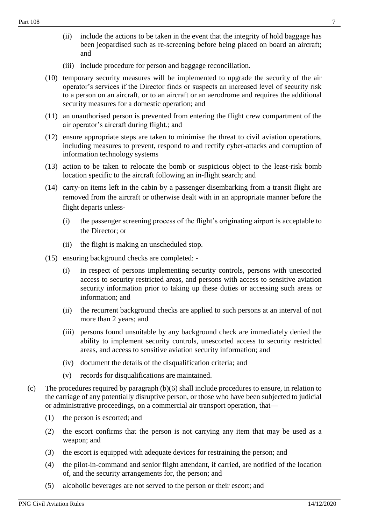- (iii) include procedure for person and baggage reconciliation.
- (10) temporary security measures will be implemented to upgrade the security of the air operator's services if the Director finds or suspects an increased level of security risk to a person on an aircraft, or to an aircraft or an aerodrome and requires the additional security measures for a domestic operation; and
- (11) an unauthorised person is prevented from entering the flight crew compartment of the air operator's aircraft during flight.; and
- (12) ensure appropriate steps are taken to minimise the threat to civil aviation operations, including measures to prevent, respond to and rectify cyber-attacks and corruption of information technology systems
- (13) action to be taken to relocate the bomb or suspicious object to the least-risk bomb location specific to the aircraft following an in-flight search; and
- (14) carry-on items left in the cabin by a passenger disembarking from a transit flight are removed from the aircraft or otherwise dealt with in an appropriate manner before the flight departs unless-
	- (i) the passenger screening process of the flight's originating airport is acceptable to the Director; or
	- (ii) the flight is making an unscheduled stop.
- (15) ensuring background checks are completed:
	- (i) in respect of persons implementing security controls, persons with unescorted access to security restricted areas, and persons with access to sensitive aviation security information prior to taking up these duties or accessing such areas or information; and
	- (ii) the recurrent background checks are applied to such persons at an interval of not more than 2 years; and
	- (iii) persons found unsuitable by any background check are immediately denied the ability to implement security controls, unescorted access to security restricted areas, and access to sensitive aviation security information; and
	- (iv) document the details of the disqualification criteria; and
	- (v) records for disqualifications are maintained.
- (c) The procedures required by paragraph (b)(6) shall include procedures to ensure, in relation to the carriage of any potentially disruptive person, or those who have been subjected to judicial or administrative proceedings, on a commercial air transport operation, that—
	- (1) the person is escorted; and
	- (2) the escort confirms that the person is not carrying any item that may be used as a weapon; and
	- (3) the escort is equipped with adequate devices for restraining the person; and
	- (4) the pilot-in-command and senior flight attendant, if carried, are notified of the location of, and the security arrangements for, the person; and
	- (5) alcoholic beverages are not served to the person or their escort; and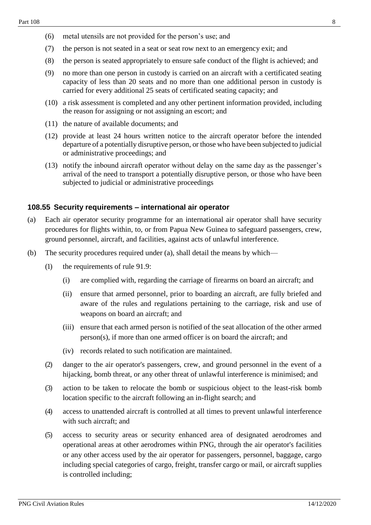- (6) metal utensils are not provided for the person's use; and
- (7) the person is not seated in a seat or seat row next to an emergency exit; and
- (8) the person is seated appropriately to ensure safe conduct of the flight is achieved; and
- (9) no more than one person in custody is carried on an aircraft with a certificated seating capacity of less than 20 seats and no more than one additional person in custody is carried for every additional 25 seats of certificated seating capacity; and
- (10) a risk assessment is completed and any other pertinent information provided, including the reason for assigning or not assigning an escort; and
- (11) the nature of available documents; and
- (12) provide at least 24 hours written notice to the aircraft operator before the intended departure of a potentially disruptive person, or those who have been subjected to judicial or administrative proceedings; and
- (13) notify the inbound aircraft operator without delay on the same day as the passenger's arrival of the need to transport a potentially disruptive person, or those who have been subjected to judicial or administrative proceedings

#### <span id="page-7-0"></span>**108.55 Security requirements – international air operator**

- (a) Each air operator security programme for an international air operator shall have security procedures for flights within, to, or from Papua New Guinea to safeguard passengers, crew, ground personnel, aircraft, and facilities, against acts of unlawful interference.
- (b) The security procedures required under (a), shall detail the means by which—
	- (1) the requirements of rule 91.9:
		- (i) are complied with, regarding the carriage of firearms on board an aircraft; and
		- (ii) ensure that armed personnel, prior to boarding an aircraft, are fully briefed and aware of the rules and regulations pertaining to the carriage, risk and use of weapons on board an aircraft; and
		- (iii) ensure that each armed person is notified of the seat allocation of the other armed person(s), if more than one armed officer is on board the aircraft; and
		- (iv) records related to such notification are maintained.
	- (2) danger to the air operator's passengers, crew, and ground personnel in the event of a hijacking, bomb threat, or any other threat of unlawful interference is minimised; and
	- (3) action to be taken to relocate the bomb or suspicious object to the least-risk bomb location specific to the aircraft following an in-flight search; and
	- (4) access to unattended aircraft is controlled at all times to prevent unlawful interference with such aircraft; and
	- (5) access to security areas or security enhanced area of designated aerodromes and operational areas at other aerodromes within PNG, through the air operator's facilities or any other access used by the air operator for passengers, personnel, baggage, cargo including special categories of cargo, freight, transfer cargo or mail, or aircraft supplies is controlled including;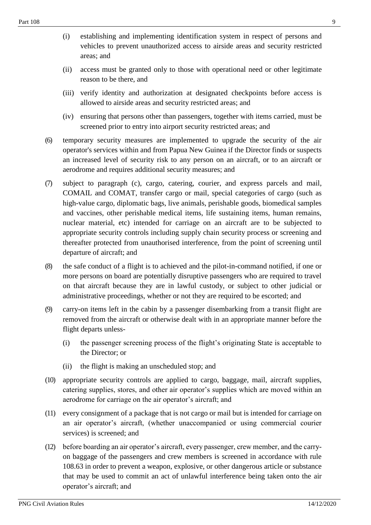- (ii) access must be granted only to those with operational need or other legitimate reason to be there, and
- (iii) verify identity and authorization at designated checkpoints before access is allowed to airside areas and security restricted areas; and
- (iv) ensuring that persons other than passengers, together with items carried, must be screened prior to entry into airport security restricted areas; and
- (6) temporary security measures are implemented to upgrade the security of the air operator's services within and from Papua New Guinea if the Director finds or suspects an increased level of security risk to any person on an aircraft, or to an aircraft or aerodrome and requires additional security measures; and
- (7) subject to paragraph (c), cargo, catering, courier, and express parcels and mail, COMAIL and COMAT, transfer cargo or mail, special categories of cargo (such as high-value cargo, diplomatic bags, live animals, perishable goods, biomedical samples and vaccines, other perishable medical items, life sustaining items, human remains, nuclear material, etc) intended for carriage on an aircraft are to be subjected to appropriate security controls including supply chain security process or screening and thereafter protected from unauthorised interference, from the point of screening until departure of aircraft; and
- (8) the safe conduct of a flight is to achieved and the pilot-in-command notified, if one or more persons on board are potentially disruptive passengers who are required to travel on that aircraft because they are in lawful custody, or subject to other judicial or administrative proceedings, whether or not they are required to be escorted; and
- (9) carry-on items left in the cabin by a passenger disembarking from a transit flight are removed from the aircraft or otherwise dealt with in an appropriate manner before the flight departs unless-
	- (i) the passenger screening process of the flight's originating State is acceptable to the Director; or
	- (ii) the flight is making an unscheduled stop; and
- (10) appropriate security controls are applied to cargo, baggage, mail, aircraft supplies, catering supplies, stores, and other air operator's supplies which are moved within an aerodrome for carriage on the air operator's aircraft; and
- (11) every consignment of a package that is not cargo or mail but is intended for carriage on an air operator's aircraft, (whether unaccompanied or using commercial courier services) is screened; and
- (12) before boarding an air operator's aircraft, every passenger, crew member, and the carryon baggage of the passengers and crew members is screened in accordance with rule 108.63 in order to prevent a weapon, explosive, or other dangerous article or substance that may be used to commit an act of unlawful interference being taken onto the air operator's aircraft; and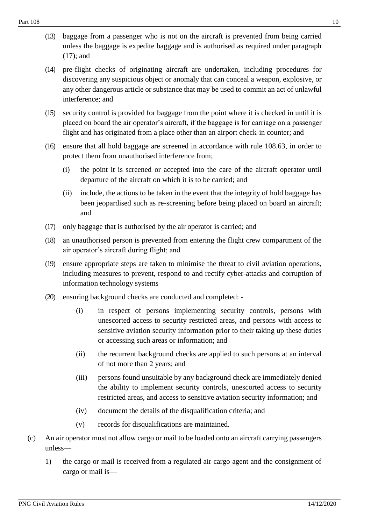- (13) baggage from a passenger who is not on the aircraft is prevented from being carried unless the baggage is expedite baggage and is authorised as required under paragraph (17); and
- (14) pre-flight checks of originating aircraft are undertaken, including procedures for discovering any suspicious object or anomaly that can conceal a weapon, explosive, or any other dangerous article or substance that may be used to commit an act of unlawful interference; and
- (15) security control is provided for baggage from the point where it is checked in until it is placed on board the air operator's aircraft, if the baggage is for carriage on a passenger flight and has originated from a place other than an airport check-in counter; and
- (16) ensure that all hold baggage are screened in accordance with rule 108.63, in order to protect them from unauthorised interference from;
	- (i) the point it is screened or accepted into the care of the aircraft operator until departure of the aircraft on which it is to be carried; and
	- (ii) include, the actions to be taken in the event that the integrity of hold baggage has been jeopardised such as re-screening before being placed on board an aircraft; and
- (17) only baggage that is authorised by the air operator is carried; and
- (18) an unauthorised person is prevented from entering the flight crew compartment of the air operator's aircraft during flight; and
- (19) ensure appropriate steps are taken to minimise the threat to civil aviation operations, including measures to prevent, respond to and rectify cyber-attacks and corruption of information technology systems
- (20) ensuring background checks are conducted and completed:
	- (i) in respect of persons implementing security controls, persons with unescorted access to security restricted areas, and persons with access to sensitive aviation security information prior to their taking up these duties or accessing such areas or information; and
	- (ii) the recurrent background checks are applied to such persons at an interval of not more than 2 years; and
	- (iii) persons found unsuitable by any background check are immediately denied the ability to implement security controls, unescorted access to security restricted areas, and access to sensitive aviation security information; and
	- (iv) document the details of the disqualification criteria; and
	- (v) records for disqualifications are maintained.
- (c) An air operator must not allow cargo or mail to be loaded onto an aircraft carrying passengers unless—
	- 1) the cargo or mail is received from a regulated air cargo agent and the consignment of cargo or mail is—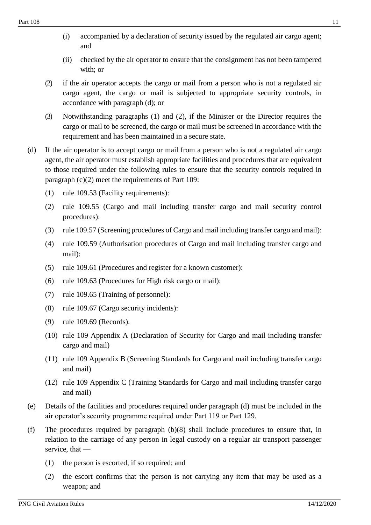- (ii) checked by the air operator to ensure that the consignment has not been tampered with; or
- (2) if the air operator accepts the cargo or mail from a person who is not a regulated air cargo agent, the cargo or mail is subjected to appropriate security controls, in accordance with paragraph (d); or
- (3) Notwithstanding paragraphs (1) and (2), if the Minister or the Director requires the cargo or mail to be screened, the cargo or mail must be screened in accordance with the requirement and has been maintained in a secure state.
- (d) If the air operator is to accept cargo or mail from a person who is not a regulated air cargo agent, the air operator must establish appropriate facilities and procedures that are equivalent to those required under the following rules to ensure that the security controls required in paragraph (c)(2) meet the requirements of Part 109:
	- (1) rule 109.53 (Facility requirements):
	- (2) rule 109.55 (Cargo and mail including transfer cargo and mail security control procedures):
	- (3) rule 109.57 (Screening procedures of Cargo and mail including transfer cargo and mail):
	- (4) rule 109.59 (Authorisation procedures of Cargo and mail including transfer cargo and mail):
	- (5) rule 109.61 (Procedures and register for a known customer):
	- (6) rule 109.63 (Procedures for High risk cargo or mail):
	- (7) rule 109.65 (Training of personnel):
	- (8) rule 109.67 (Cargo security incidents):
	- (9) rule 109.69 (Records).
	- (10) rule 109 Appendix A (Declaration of Security for Cargo and mail including transfer cargo and mail)
	- (11) rule 109 Appendix B (Screening Standards for Cargo and mail including transfer cargo and mail)
	- (12) rule 109 Appendix C (Training Standards for Cargo and mail including transfer cargo and mail)
- (e) Details of the facilities and procedures required under paragraph (d) must be included in the air operator's security programme required under Part 119 or Part 129.
- (f) The procedures required by paragraph (b)(8) shall include procedures to ensure that, in relation to the carriage of any person in legal custody on a regular air transport passenger service, that —
	- (1) the person is escorted, if so required; and
	- (2) the escort confirms that the person is not carrying any item that may be used as a weapon; and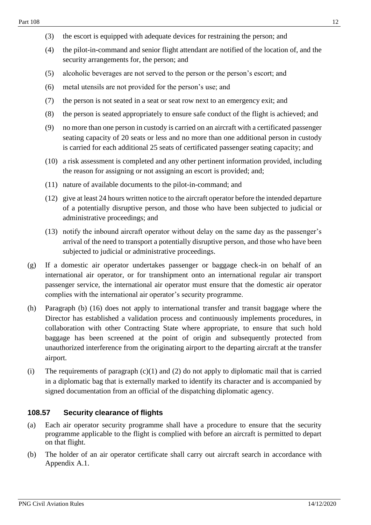- (3) the escort is equipped with adequate devices for restraining the person; and
- (4) the pilot-in-command and senior flight attendant are notified of the location of, and the security arrangements for, the person; and
- (5) alcoholic beverages are not served to the person or the person's escort; and
- (6) metal utensils are not provided for the person's use; and
- (7) the person is not seated in a seat or seat row next to an emergency exit; and
- (8) the person is seated appropriately to ensure safe conduct of the flight is achieved; and
- (9) no more than one person in custody is carried on an aircraft with a certificated passenger seating capacity of 20 seats or less and no more than one additional person in custody is carried for each additional 25 seats of certificated passenger seating capacity; and
- (10) a risk assessment is completed and any other pertinent information provided, including the reason for assigning or not assigning an escort is provided; and;
- (11) nature of available documents to the pilot-in-command; and
- (12) give at least 24 hours written notice to the aircraft operator before the intended departure of a potentially disruptive person, and those who have been subjected to judicial or administrative proceedings; and
- (13) notify the inbound aircraft operator without delay on the same day as the passenger's arrival of the need to transport a potentially disruptive person, and those who have been subjected to judicial or administrative proceedings.
- (g) If a domestic air operator undertakes passenger or baggage check-in on behalf of an international air operator, or for transhipment onto an international regular air transport passenger service, the international air operator must ensure that the domestic air operator complies with the international air operator's security programme.
- (h) Paragraph (b) (16) does not apply to international transfer and transit baggage where the Director has established a validation process and continuously implements procedures, in collaboration with other Contracting State where appropriate, to ensure that such hold baggage has been screened at the point of origin and subsequently protected from unauthorized interference from the originating airport to the departing aircraft at the transfer airport.
- (i) The requirements of paragraph  $(c)(1)$  and  $(2)$  do not apply to diplomatic mail that is carried in a diplomatic bag that is externally marked to identify its character and is accompanied by signed documentation from an official of the dispatching diplomatic agency.

## <span id="page-11-0"></span>**108.57 Security clearance of flights**

- (a) Each air operator security programme shall have a procedure to ensure that the security programme applicable to the flight is complied with before an aircraft is permitted to depart on that flight.
- (b) The holder of an air operator certificate shall carry out aircraft search in accordance with Appendix A.1.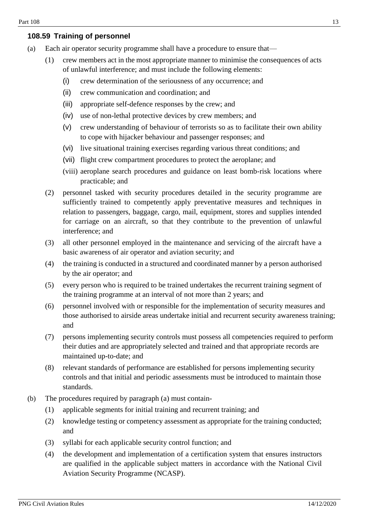## <span id="page-12-0"></span>**108.59 Training of personnel**

- (a) Each air operator security programme shall have a procedure to ensure that—
	- (1) crew members act in the most appropriate manner to minimise the consequences of acts of unlawful interference; and must include the following elements:
		- (i) crew determination of the seriousness of any occurrence; and
		- (ii) crew communication and coordination; and
		- (iii) appropriate self-defence responses by the crew; and
		- (iv) use of non-lethal protective devices by crew members; and
		- (v) crew understanding of behaviour of terrorists so as to facilitate their own ability to cope with hijacker behaviour and passenger responses; and
		- (vi) live situational training exercises regarding various threat conditions; and
		- (vii) flight crew compartment procedures to protect the aeroplane; and
		- (viii) aeroplane search procedures and guidance on least bomb-risk locations where practicable; and
	- (2) personnel tasked with security procedures detailed in the security programme are sufficiently trained to competently apply preventative measures and techniques in relation to passengers, baggage, cargo, mail, equipment, stores and supplies intended for carriage on an aircraft, so that they contribute to the prevention of unlawful interference; and
	- (3) all other personnel employed in the maintenance and servicing of the aircraft have a basic awareness of air operator and aviation security; and
	- (4) the training is conducted in a structured and coordinated manner by a person authorised by the air operator; and
	- (5) every person who is required to be trained undertakes the recurrent training segment of the training programme at an interval of not more than 2 years; and
	- (6) personnel involved with or responsible for the implementation of security measures and those authorised to airside areas undertake initial and recurrent security awareness training; and
	- (7) persons implementing security controls must possess all competencies required to perform their duties and are appropriately selected and trained and that appropriate records are maintained up-to-date; and
	- (8) relevant standards of performance are established for persons implementing security controls and that initial and periodic assessments must be introduced to maintain those standards.
- (b) The procedures required by paragraph (a) must contain-
	- (1) applicable segments for initial training and recurrent training; and
	- (2) knowledge testing or competency assessment as appropriate for the training conducted; and
	- (3) syllabi for each applicable security control function; and
	- (4) the development and implementation of a certification system that ensures instructors are qualified in the applicable subject matters in accordance with the National Civil Aviation Security Programme (NCASP).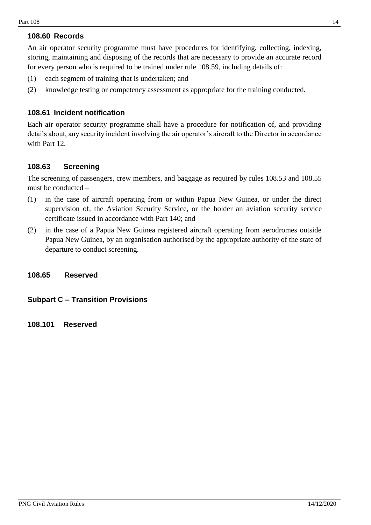## <span id="page-13-0"></span>**108.60 Records**

An air operator security programme must have procedures for identifying, collecting, indexing, storing, maintaining and disposing of the records that are necessary to provide an accurate record for every person who is required to be trained under rule 108.59, including details of:

- (1) each segment of training that is undertaken; and
- (2) knowledge testing or competency assessment as appropriate for the training conducted.

### <span id="page-13-1"></span>**108.61 Incident notification**

Each air operator security programme shall have a procedure for notification of, and providing details about, any security incident involving the air operator's aircraft to the Director in accordance with Part 12.

### <span id="page-13-2"></span>**108.63 Screening**

The screening of passengers, crew members, and baggage as required by rules 108.53 and 108.55 must be conducted –

- (1) in the case of aircraft operating from or within Papua New Guinea, or under the direct supervision of, the Aviation Security Service, or the holder an aviation security service certificate issued in accordance with Part 140; and
- (2) in the case of a Papua New Guinea registered aircraft operating from aerodromes outside Papua New Guinea, by an organisation authorised by the appropriate authority of the state of departure to conduct screening.

#### <span id="page-13-3"></span>**108.65 Reserved**

#### <span id="page-13-4"></span>**Subpart C – Transition Provisions**

<span id="page-13-5"></span>**108.101 Reserved**